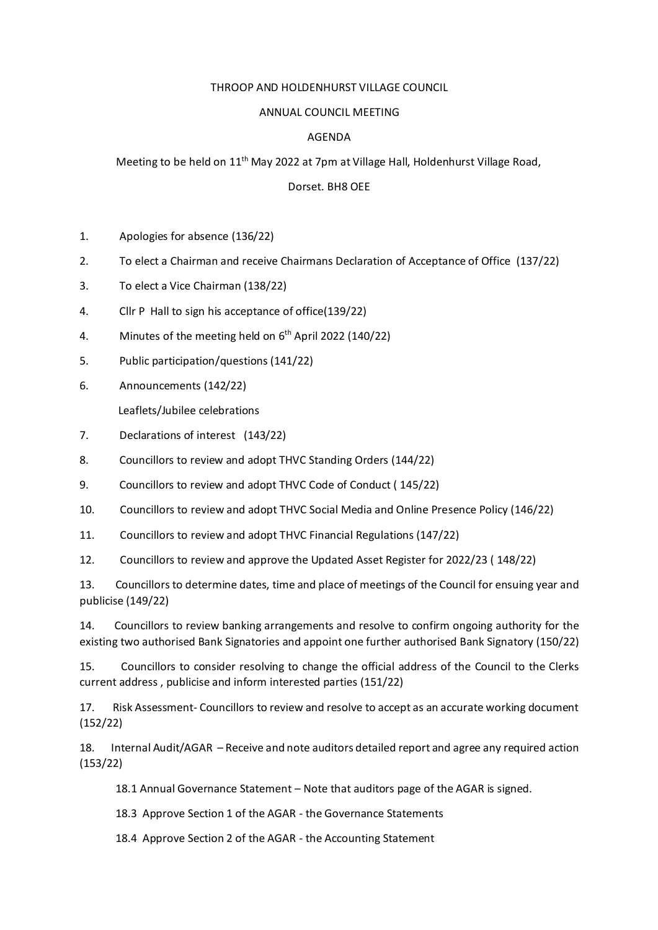## THROOP AND HOLDENHURST VILLAGE COUNCIL

## ANNUAL COUNCIL MEETING

## AGENDA

Meeting to be held on 11th May 2022 at 7pm at Village Hall, Holdenhurst Village Road,

## Dorset. BH8 OEE

- 1. Apologies for absence (136/22)
- 2. To elect a Chairman and receive Chairmans Declaration of Acceptance of Office (137/22)
- 3. To elect a Vice Chairman (138/22)
- 4. Cllr P Hall to sign his acceptance of office(139/22)
- 4. Minutes of the meeting held on  $6<sup>th</sup>$  April 2022 (140/22)
- 5. Public participation/questions (141/22)
- 6. Announcements (142/22)

Leaflets/Jubilee celebrations

- 7. Declarations of interest (143/22)
- 8. Councillors to review and adopt THVC Standing Orders (144/22)
- 9. Councillors to review and adopt THVC Code of Conduct ( 145/22)
- 10. Councillors to review and adopt THVC Social Media and Online Presence Policy (146/22)
- 11. Councillors to review and adopt THVC Financial Regulations (147/22)

12. Councillors to review and approve the Updated Asset Register for 2022/23 ( 148/22)

13. Councillors to determine dates, time and place of meetings of the Council for ensuing year and publicise (149/22)

14. Councillors to review banking arrangements and resolve to confirm ongoing authority for the existing two authorised Bank Signatories and appoint one further authorised Bank Signatory (150/22)

15. Councillors to consider resolving to change the official address of the Council to the Clerks current address , publicise and inform interested parties (151/22)

17. Risk Assessment- Councillors to review and resolve to accept as an accurate working document (152/22)

18. Internal Audit/AGAR – Receive and note auditors detailed report and agree any required action (153/22)

18.1 Annual Governance Statement – Note that auditors page of the AGAR is signed.

18.3 Approve Section 1 of the AGAR - the Governance Statements

18.4 Approve Section 2 of the AGAR - the Accounting Statement